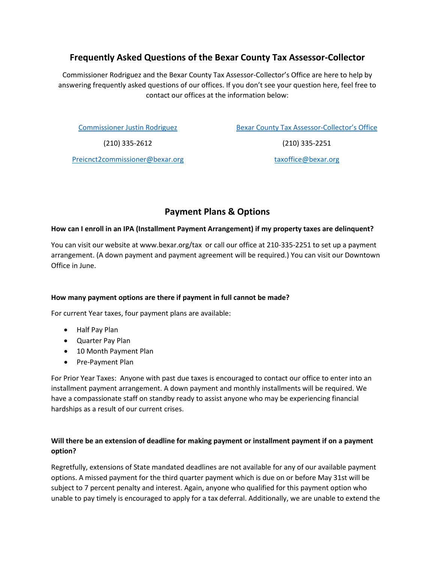# **Frequently Asked Questions of the Bexar County Tax Assessor-Collector**

Commissioner Rodriguez and the Bexar County Tax Assessor-Collector's Office are here to help by answering frequently asked questions of our offices. If you don't see your question here, feel free to contact our offices at the information below:

[Commissioner Justin Rodriguez](https://www.bexar.org/3144/Precinct-2-Commissioner-Justin-Rodriguez)

[Bexar County Tax Assessor-Collector's Office](https://www.bexar.org/1515/Tax-Assessor-Collector)

(210) 335-2612

(210) 335-2251

[Preicnct2commissioner@bexar.org](mailto:Preicnct2commissioner@bexar.org)

taxoffice@bexar.org

# **Payment Plans & Options**

### **How can I enroll in an IPA (Installment Payment Arrangement) if my property taxes are delinquent?**

You can visit our website at www.bexar.org/tax or call our office at 210-335-2251 to set up a payment arrangement. (A down payment and payment agreement will be required.) You can visit our Downtown Office in June.

### **How many payment options are there if payment in full cannot be made?**

For current Year taxes, four payment plans are available:

- Half Pay Plan
- Quarter Pay Plan
- 10 Month Payment Plan
- Pre-Payment Plan

For Prior Year Taxes: Anyone with past due taxes is encouraged to contact our office to enter into an installment payment arrangement. A down payment and monthly installments will be required. We have a compassionate staff on standby ready to assist anyone who may be experiencing financial hardships as a result of our current crises.

### **Will there be an extension of deadline for making payment or installment payment if on a payment option?**

Regretfully, extensions of State mandated deadlines are not available for any of our available payment options. A missed payment for the third quarter payment which is due on or before May 31st will be subject to 7 percent penalty and interest. Again, anyone who qualified for this payment option who unable to pay timely is encouraged to apply for a tax deferral. Additionally, we are unable to extend the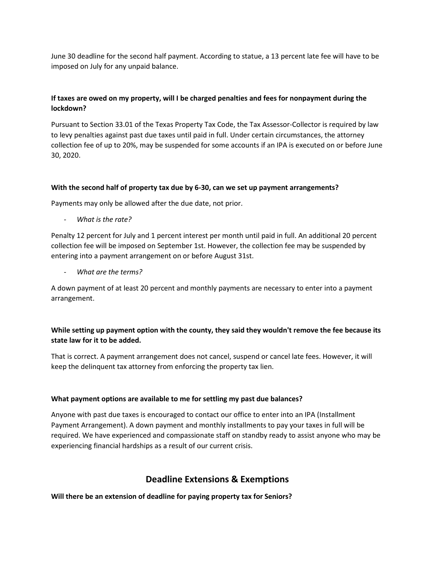June 30 deadline for the second half payment. According to statue, a 13 percent late fee will have to be imposed on July for any unpaid balance.

## **If taxes are owed on my property, will I be charged penalties and fees for nonpayment during the lockdown?**

Pursuant to Section 33.01 of the Texas Property Tax Code, the Tax Assessor-Collector is required by law to levy penalties against past due taxes until paid in full. Under certain circumstances, the attorney collection fee of up to 20%, may be suspended for some accounts if an IPA is executed on or before June 30, 2020.

### **With the second half of property tax due by 6-30, can we set up payment arrangements?**

Payments may only be allowed after the due date, not prior.

- *What is the rate?* 

Penalty 12 percent for July and 1 percent interest per month until paid in full. An additional 20 percent collection fee will be imposed on September 1st. However, the collection fee may be suspended by entering into a payment arrangement on or before August 31st.

- *What are the terms?*

A down payment of at least 20 percent and monthly payments are necessary to enter into a payment arrangement.

### **While setting up payment option with the county, they said they wouldn't remove the fee because its state law for it to be added.**

That is correct. A payment arrangement does not cancel, suspend or cancel late fees. However, it will keep the delinquent tax attorney from enforcing the property tax lien.

#### **What payment options are available to me for settling my past due balances?**

Anyone with past due taxes is encouraged to contact our office to enter into an IPA (Installment Payment Arrangement). A down payment and monthly installments to pay your taxes in full will be required. We have experienced and compassionate staff on standby ready to assist anyone who may be experiencing financial hardships as a result of our current crisis.

## **Deadline Extensions & Exemptions**

**Will there be an extension of deadline for paying property tax for Seniors?**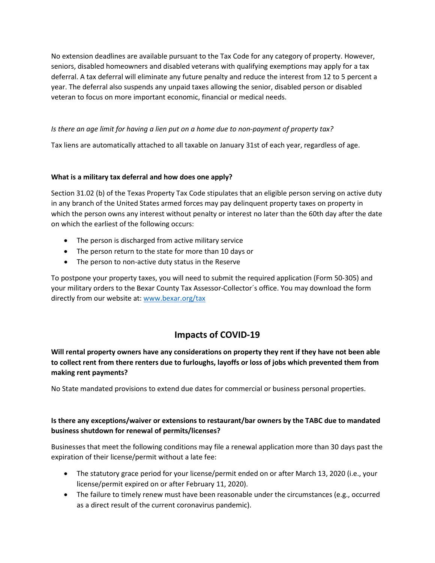No extension deadlines are available pursuant to the Tax Code for any category of property. However, seniors, disabled homeowners and disabled veterans with qualifying exemptions may apply for a tax deferral. A tax deferral will eliminate any future penalty and reduce the interest from 12 to 5 percent a year. The deferral also suspends any unpaid taxes allowing the senior, disabled person or disabled veteran to focus on more important economic, financial or medical needs.

## *Is there an age limit for having a lien put on a home due to non-payment of property tax?*

Tax liens are automatically attached to all taxable on January 31st of each year, regardless of age.

### **What is a military tax deferral and how does one apply?**

Section 31.02 (b) of the Texas Property Tax Code stipulates that an eligible person serving on active duty in any branch of the United States armed forces may pay delinquent property taxes on property in which the person owns any interest without penalty or interest no later than the 60th day after the date on which the earliest of the following occurs:

- The person is discharged from active military service
- The person return to the state for more than 10 days or
- The person to non-active duty status in the Reserve

To postpone your property taxes, you will need to submit the required application (Form 50-305) and your military orders to the Bexar County Tax Assessor-Collector´s office. You may download the form directly from our website at: [www.bexar.org/tax](http://www.bexar.org/tax)

# **Impacts of COVID-19**

**Will rental property owners have any considerations on property they rent if they have not been able to collect rent from there renters due to furloughs, layoffs or loss of jobs which prevented them from making rent payments?**

No State mandated provisions to extend due dates for commercial or business personal properties.

## **Is there any exceptions/waiver or extensions to restaurant/bar owners by the TABC due to mandated business shutdown for renewal of permits/licenses?**

Businesses that meet the following conditions may file a renewal application more than 30 days past the expiration of their license/permit without a late fee:

- The statutory grace period for your license/permit ended on or after March 13, 2020 (i.e., your license/permit expired on or after February 11, 2020).
- The failure to timely renew must have been reasonable under the circumstances (e.g., occurred as a direct result of the current coronavirus pandemic).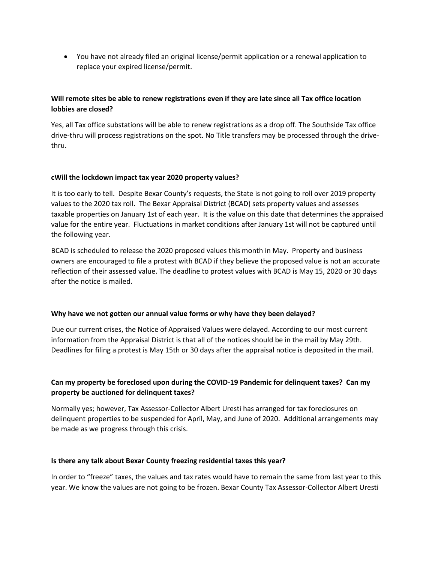• You have not already filed an original license/permit application or a renewal application to replace your expired license/permit.

### **Will remote sites be able to renew registrations even if they are late since all Tax office location lobbies are closed?**

Yes, all Tax office substations will be able to renew registrations as a drop off. The Southside Tax office drive-thru will process registrations on the spot. No Title transfers may be processed through the drivethru.

### **cWill the lockdown impact tax year 2020 property values?**

It is too early to tell. Despite Bexar County's requests, the State is not going to roll over 2019 property values to the 2020 tax roll. The Bexar Appraisal District (BCAD) sets property values and assesses taxable properties on January 1st of each year. It is the value on this date that determines the appraised value for the entire year. Fluctuations in market conditions after January 1st will not be captured until the following year.

BCAD is scheduled to release the 2020 proposed values this month in May. Property and business owners are encouraged to file a protest with BCAD if they believe the proposed value is not an accurate reflection of their assessed value. The deadline to protest values with BCAD is May 15, 2020 or 30 days after the notice is mailed.

#### **Why have we not gotten our annual value forms or why have they been delayed?**

Due our current crises, the Notice of Appraised Values were delayed. According to our most current information from the Appraisal District is that all of the notices should be in the mail by May 29th. Deadlines for filing a protest is May 15th or 30 days after the appraisal notice is deposited in the mail.

## **Can my property be foreclosed upon during the COVID-19 Pandemic for delinquent taxes? Can my property be auctioned for delinquent taxes?**

Normally yes; however, Tax Assessor-Collector Albert Uresti has arranged for tax foreclosures on delinquent properties to be suspended for April, May, and June of 2020. Additional arrangements may be made as we progress through this crisis.

#### **Is there any talk about Bexar County freezing residential taxes this year?**

In order to "freeze" taxes, the values and tax rates would have to remain the same from last year to this year. We know the values are not going to be frozen. Bexar County Tax Assessor-Collector Albert Uresti